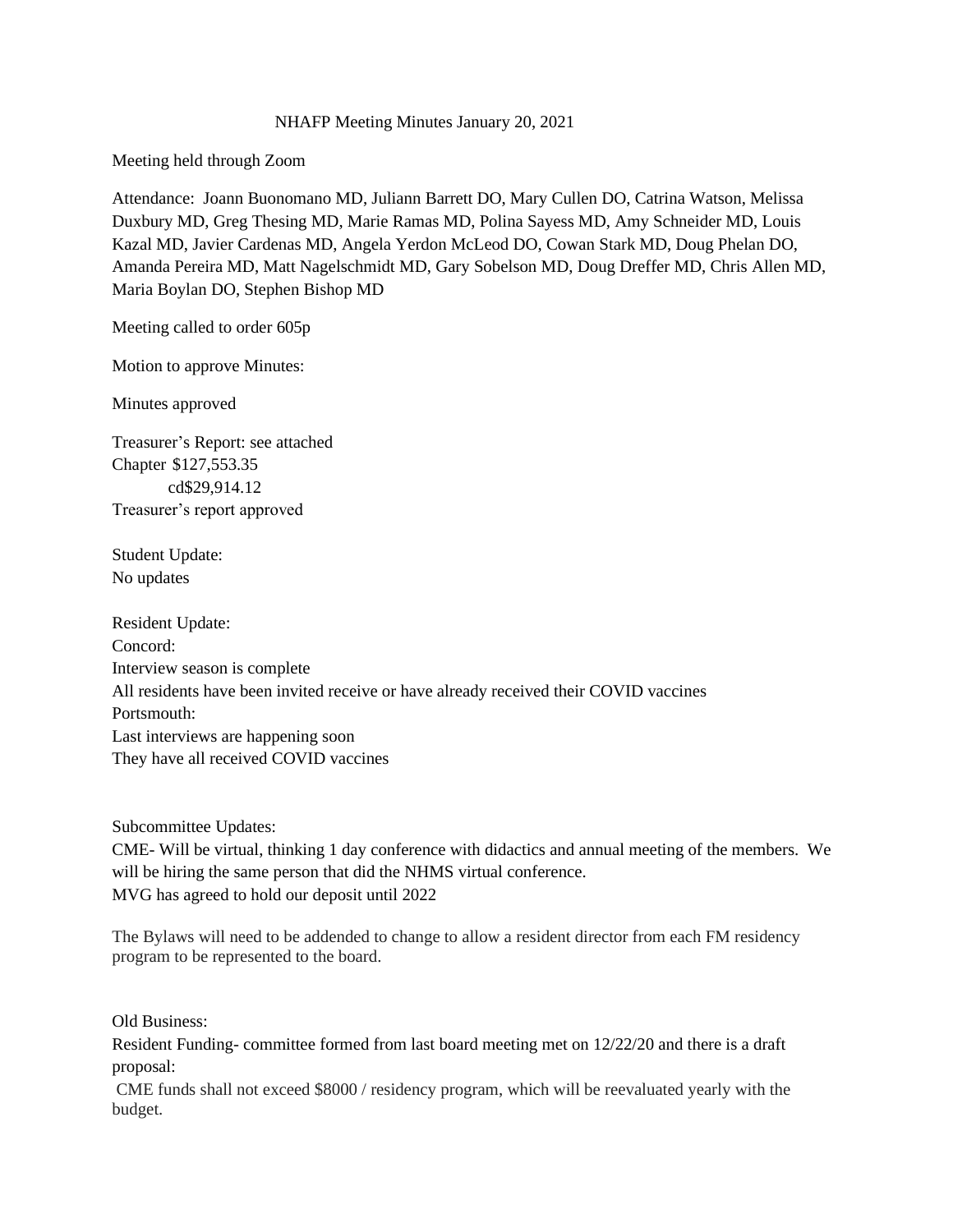## NHAFP Meeting Minutes January 20, 2021

Meeting held through Zoom

Attendance: Joann Buonomano MD, Juliann Barrett DO, Mary Cullen DO, Catrina Watson, Melissa Duxbury MD, Greg Thesing MD, Marie Ramas MD, Polina Sayess MD, Amy Schneider MD, Louis Kazal MD, Javier Cardenas MD, Angela Yerdon McLeod DO, Cowan Stark MD, Doug Phelan DO, Amanda Pereira MD, Matt Nagelschmidt MD, Gary Sobelson MD, Doug Dreffer MD, Chris Allen MD, Maria Boylan DO, Stephen Bishop MD

Meeting called to order 605p

Motion to approve Minutes:

Minutes approved

Treasurer's Report: see attached Chapter \$127,553.35 cd\$29,914.12 Treasurer's report approved

Student Update: No updates

Resident Update: Concord: Interview season is complete All residents have been invited receive or have already received their COVID vaccines Portsmouth: Last interviews are happening soon They have all received COVID vaccines

Subcommittee Updates:

CME- Will be virtual, thinking 1 day conference with didactics and annual meeting of the members. We will be hiring the same person that did the NHMS virtual conference. MVG has agreed to hold our deposit until 2022

The Bylaws will need to be addended to change to allow a resident director from each FM residency program to be represented to the board.

Old Business:

Resident Funding- committee formed from last board meeting met on 12/22/20 and there is a draft proposal:

CME funds shall not exceed \$8000 / residency program, which will be reevaluated yearly with the budget.